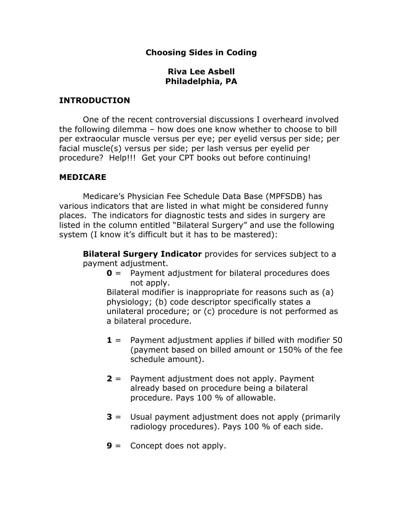# Choosing Sides in Coding

# Riva Lee Asbell Philadelphia, PA

# INTRODUCTION

 One of the recent controversial discussions I overheard involved the following dilemma – how does one know whether to choose to bill per extraocular muscle versus per eye; per eyelid versus per side; per facial muscle(s) versus per side; per lash versus per eyelid per procedure? Help!!! Get your CPT books out before continuing!

# MEDICARE

 Medicare's Physician Fee Schedule Data Base (MPFSDB) has various indicators that are listed in what might be considered funny places. The indicators for diagnostic tests and sides in surgery are listed in the column entitled "Bilateral Surgery" and use the following system (I know it's difficult but it has to be mastered):

**Bilateral Surgery Indicator** provides for services subject to a payment adjustment.

 $\theta$  = Payment adjustment for bilateral procedures does not apply.

Bilateral modifier is inappropriate for reasons such as (a) physiology; (b) code descriptor specifically states a unilateral procedure; or (c) procedure is not performed as a bilateral procedure.

- $1$  = Payment adjustment applies if billed with modifier 50 (payment based on billed amount or 150% of the fee schedule amount).
- $2$  = Payment adjustment does not apply. Payment already based on procedure being a bilateral procedure. Pays 100 % of allowable.
- $3$  = Usual payment adjustment does not apply (primarily radiology procedures). Pays 100 % of each side.
- $9 =$  Concept does not apply.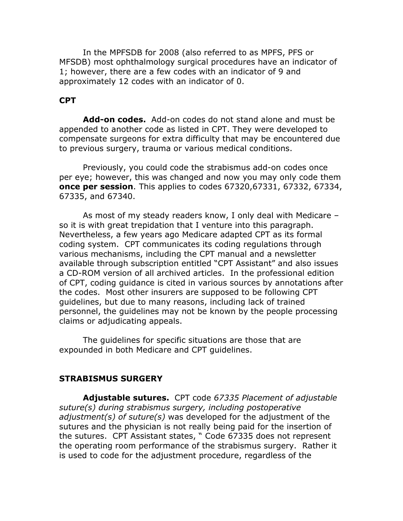In the MPFSDB for 2008 (also referred to as MPFS, PFS or MFSDB) most ophthalmology surgical procedures have an indicator of 1; however, there are a few codes with an indicator of 9 and approximately 12 codes with an indicator of 0.

## CPT

Add-on codes. Add-on codes do not stand alone and must be appended to another code as listed in CPT. They were developed to compensate surgeons for extra difficulty that may be encountered due to previous surgery, trauma or various medical conditions.

 Previously, you could code the strabismus add-on codes once per eye; however, this was changed and now you may only code them **once per session**. This applies to codes 67320,67331, 67332, 67334, 67335, and 67340.

 As most of my steady readers know, I only deal with Medicare – so it is with great trepidation that I venture into this paragraph. Nevertheless, a few years ago Medicare adapted CPT as its formal coding system. CPT communicates its coding regulations through various mechanisms, including the CPT manual and a newsletter available through subscription entitled "CPT Assistant" and also issues a CD-ROM version of all archived articles. In the professional edition of CPT, coding guidance is cited in various sources by annotations after the codes. Most other insurers are supposed to be following CPT guidelines, but due to many reasons, including lack of trained personnel, the guidelines may not be known by the people processing claims or adjudicating appeals.

 The guidelines for specific situations are those that are expounded in both Medicare and CPT guidelines.

#### STRABISMUS SURGERY

Adjustable sutures. CPT code 67335 Placement of adjustable suture(s) during strabismus surgery, including postoperative adjustment(s) of suture(s) was developed for the adjustment of the sutures and the physician is not really being paid for the insertion of the sutures. CPT Assistant states, " Code 67335 does not represent the operating room performance of the strabismus surgery. Rather it is used to code for the adjustment procedure, regardless of the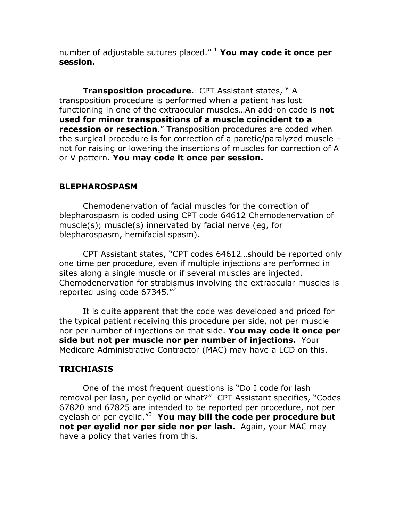number of adjustable sutures placed."  $1$  You may code it once per session.

Transposition procedure. CPT Assistant states, "A transposition procedure is performed when a patient has lost functioning in one of the extraocular muscles...An add-on code is **not** used for minor transpositions of a muscle coincident to a recession or resection." Transposition procedures are coded when the surgical procedure is for correction of a paretic/paralyzed muscle – not for raising or lowering the insertions of muscles for correction of A or  $V$  pattern. You may code it once per session.

## BLEPHAROSPASM

Chemodenervation of facial muscles for the correction of blepharospasm is coded using CPT code 64612 Chemodenervation of muscle(s); muscle(s) innervated by facial nerve (eg, for blepharospasm, hemifacial spasm).

 CPT Assistant states, "CPT codes 64612…should be reported only one time per procedure, even if multiple injections are performed in sites along a single muscle or if several muscles are injected. Chemodenervation for strabismus involving the extraocular muscles is reported using code 67345."<sup>2</sup>

 It is quite apparent that the code was developed and priced for the typical patient receiving this procedure per side, not per muscle nor per number of injections on that side. You may code it once per side but not per muscle nor per number of injections. Your Medicare Administrative Contractor (MAC) may have a LCD on this.

# **TRICHIASIS**

 One of the most frequent questions is "Do I code for lash removal per lash, per eyelid or what?" CPT Assistant specifies, "Codes 67820 and 67825 are intended to be reported per procedure, not per eyelash or per eyelid." $3$  You may bill the code per procedure but not per eyelid nor per side nor per lash. Again, your MAC may have a policy that varies from this.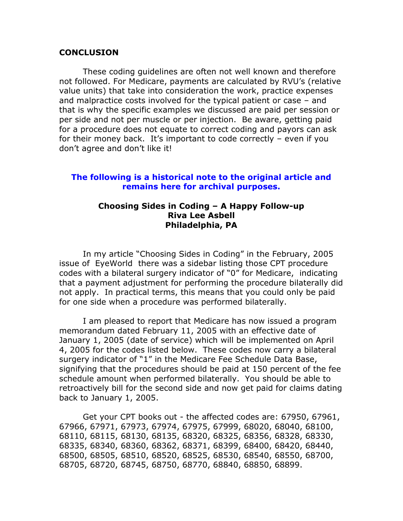#### **CONCLUSION**

These coding guidelines are often not well known and therefore not followed. For Medicare, payments are calculated by RVU's (relative value units) that take into consideration the work, practice expenses and malpractice costs involved for the typical patient or case – and that is why the specific examples we discussed are paid per session or per side and not per muscle or per injection. Be aware, getting paid for a procedure does not equate to correct coding and payors can ask for their money back. It's important to code correctly – even if you don't agree and don't like it!

## The following is a historical note to the original article and remains here for archival purposes.

## Choosing Sides in Coding – A Happy Follow-up Riva Lee Asbell Philadelphia, PA

 In my article "Choosing Sides in Coding" in the February, 2005 issue of EyeWorld there was a sidebar listing those CPT procedure codes with a bilateral surgery indicator of "0" for Medicare, indicating that a payment adjustment for performing the procedure bilaterally did not apply. In practical terms, this means that you could only be paid for one side when a procedure was performed bilaterally.

 I am pleased to report that Medicare has now issued a program memorandum dated February 11, 2005 with an effective date of January 1, 2005 (date of service) which will be implemented on April 4, 2005 for the codes listed below. These codes now carry a bilateral surgery indicator of "1" in the Medicare Fee Schedule Data Base, signifying that the procedures should be paid at 150 percent of the fee schedule amount when performed bilaterally. You should be able to retroactively bill for the second side and now get paid for claims dating back to January 1, 2005.

 Get your CPT books out - the affected codes are: 67950, 67961, 67966, 67971, 67973, 67974, 67975, 67999, 68020, 68040, 68100, 68110, 68115, 68130, 68135, 68320, 68325, 68356, 68328, 68330, 68335, 68340, 68360, 68362, 68371, 68399, 68400, 68420, 68440, 68500, 68505, 68510, 68520, 68525, 68530, 68540, 68550, 68700, 68705, 68720, 68745, 68750, 68770, 68840, 68850, 68899.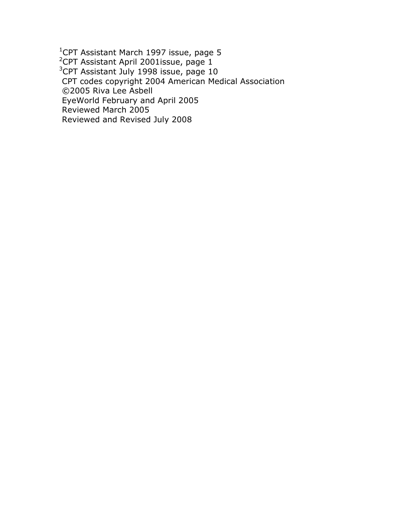<sup>1</sup>CPT Assistant March 1997 issue, page 5 <sup>2</sup>CPT Assistant April 2001issue, page 1  $3$ CPT Assistant July 1998 issue, page 10 CPT codes copyright 2004 American Medical Association ©2005 Riva Lee Asbell EyeWorld February and April 2005 Reviewed March 2005 Reviewed and Revised July 2008